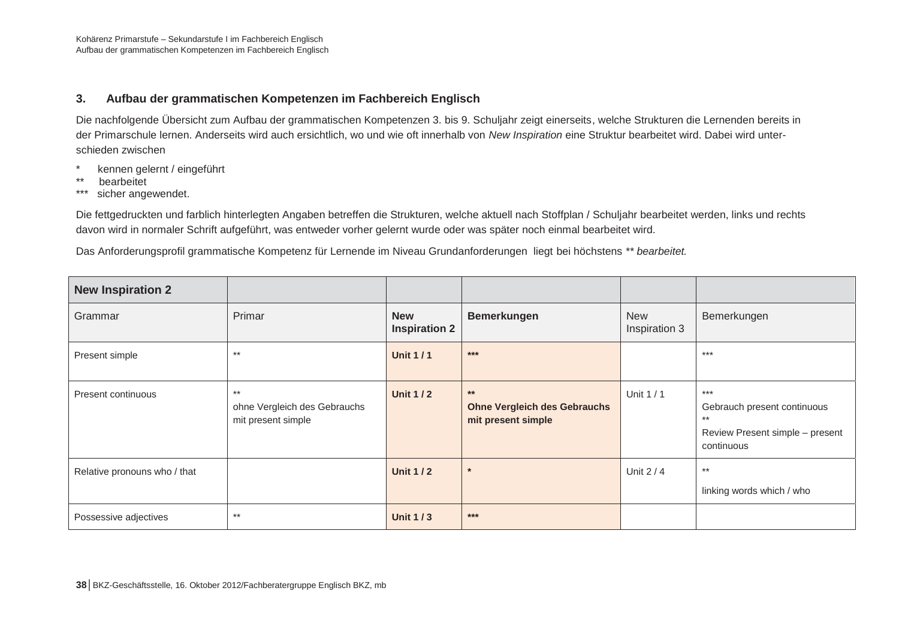## **3. Aufbau der grammatischen Kompetenzen im Fachbereich Englisch**

Die nachfolgende Übersicht zum Aufbau der grammatischen Kompetenzen 3. bis 9. Schuljahr zeigt einerseits, welche Strukturen die Lernenden bereits in der Primarschule lernen. Anderseits wird auch ersichtlich, wo und wie oft innerhalb von *New Inspiration* eine Struktur bearbeitet wird. Dabei wird unterschieden zwischen

- kennen gelernt / eingeführt
- \*\* bearbeitet
- \*\*\* sicher angewendet.

Die fettgedruckten und farblich hinterlegten Angaben betreffen die Strukturen, welche aktuell nach Stoffplan / Schuljahr bearbeitet werden, links und rechts davon wird in normaler Schrift aufgeführt, was entweder vorher gelernt wurde oder was später noch einmal bearbeitet wird.

Das Anforderungsprofil grammatische Kompetenz für Lernende im Niveau Grundanforderungen liegt bei höchstens *\*\* bearbeitet.* 

| <b>New Inspiration 2</b>     |                                                             |                                    |                                                                    |                             |                                                                                                |
|------------------------------|-------------------------------------------------------------|------------------------------------|--------------------------------------------------------------------|-----------------------------|------------------------------------------------------------------------------------------------|
| Grammar                      | Primar                                                      | <b>New</b><br><b>Inspiration 2</b> | <b>Bemerkungen</b>                                                 | <b>New</b><br>Inspiration 3 | Bemerkungen                                                                                    |
| Present simple               | **                                                          | <b>Unit 1/1</b>                    | $***$                                                              |                             | $***$                                                                                          |
| Present continuous           | $***$<br>ohne Vergleich des Gebrauchs<br>mit present simple | <b>Unit 1/2</b>                    | $***$<br><b>Ohne Vergleich des Gebrauchs</b><br>mit present simple | Unit $1/1$                  | $***$<br>Gebrauch present continuous<br>$***$<br>Review Present simple - present<br>continuous |
| Relative pronouns who / that |                                                             | <b>Unit 1/2</b>                    | $\star$                                                            | Unit $2/4$                  | $***$<br>linking words which / who                                                             |
| Possessive adjectives        | $***$                                                       | <b>Unit 1/3</b>                    | $***$                                                              |                             |                                                                                                |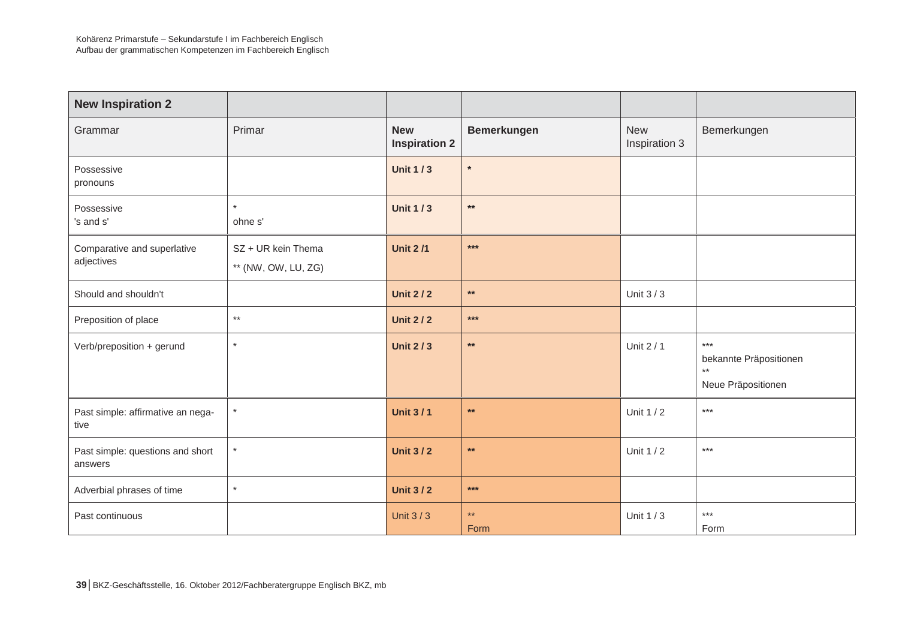| <b>New Inspiration 2</b>                    |                                           |                                    |                      |                             |                                                               |
|---------------------------------------------|-------------------------------------------|------------------------------------|----------------------|-----------------------------|---------------------------------------------------------------|
| Grammar                                     | Primar                                    | <b>New</b><br><b>Inspiration 2</b> | <b>Bemerkungen</b>   | <b>New</b><br>Inspiration 3 | Bemerkungen                                                   |
| Possessive<br>pronouns                      |                                           | <b>Unit 1/3</b>                    | $\ast$               |                             |                                                               |
| Possessive<br>'s and s'                     | $\star$<br>ohne s'                        | <b>Unit 1/3</b>                    | $***$                |                             |                                                               |
| Comparative and superlative<br>adjectives   | SZ + UR kein Thema<br>** (NW, OW, LU, ZG) | <b>Unit 2/1</b>                    | $***$                |                             |                                                               |
| Should and shouldn't                        |                                           | <b>Unit 2/2</b>                    | $***$                | Unit 3 / 3                  |                                                               |
| Preposition of place                        | $***$                                     | <b>Unit 2/2</b>                    | $***$                |                             |                                                               |
| Verb/preposition + gerund                   | $\star$                                   | <b>Unit 2/3</b>                    | $\star\star$         | Unit 2 / 1                  | $***$<br>bekannte Präpositionen<br>$**$<br>Neue Präpositionen |
| Past simple: affirmative an nega-<br>tive   | $\star$                                   | <b>Unit 3/1</b>                    | $\star\star$         | Unit 1 / 2                  | $***$                                                         |
| Past simple: questions and short<br>answers | $\star$                                   | <b>Unit 3/2</b>                    | $\star\star$         | Unit 1 / 2                  | $***$                                                         |
| Adverbial phrases of time                   | $\star$                                   | <b>Unit 3/2</b>                    | $***$                |                             |                                                               |
| Past continuous                             |                                           | Unit $3/3$                         | $\star\star$<br>Form | Unit 1 / 3                  | $***$<br>Form                                                 |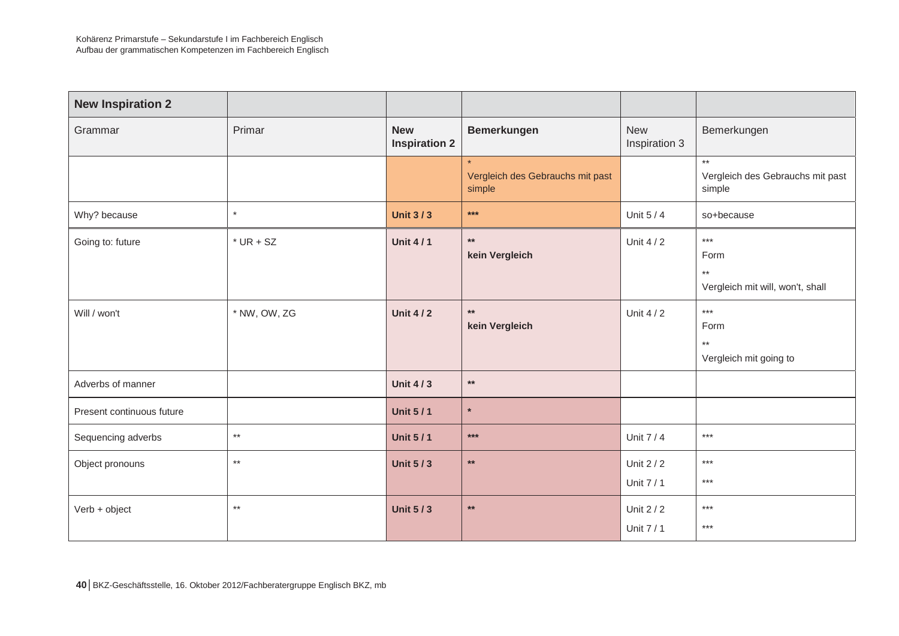| <b>New Inspiration 2</b>  |                 |                                    |                                            |                             |                                                                      |
|---------------------------|-----------------|------------------------------------|--------------------------------------------|-----------------------------|----------------------------------------------------------------------|
| Grammar                   | Primar          | <b>New</b><br><b>Inspiration 2</b> | <b>Bemerkungen</b>                         | <b>New</b><br>Inspiration 3 | Bemerkungen                                                          |
|                           |                 |                                    | Vergleich des Gebrauchs mit past<br>simple |                             | $***$<br>Vergleich des Gebrauchs mit past<br>simple                  |
| Why? because              | $\star$         | <b>Unit 3/3</b>                    | $***$                                      | Unit 5/4                    | so+because                                                           |
| Going to: future          | $*$ UR + SZ     | <b>Unit 4/1</b>                    | $**$<br>kein Vergleich                     | Unit $4/2$                  | $***$<br>Form<br>$^{\star\star}$<br>Vergleich mit will, won't, shall |
| Will / won't              | * NW, OW, ZG    | <b>Unit 4/2</b>                    | $**$<br>kein Vergleich                     | Unit $4/2$                  | $***$<br>Form<br>$^{\star\star}$<br>Vergleich mit going to           |
| Adverbs of manner         |                 | <b>Unit 4/3</b>                    | $\star\star$                               |                             |                                                                      |
| Present continuous future |                 | <b>Unit 5/1</b>                    | $\star$                                    |                             |                                                                      |
| Sequencing adverbs        | $^{\star\star}$ | <b>Unit 5/1</b>                    | $***$                                      | Unit 7 / 4                  | $***$                                                                |
| Object pronouns           | $^{\star\star}$ | <b>Unit 5/3</b>                    | $\star\star$                               | Unit $2/2$<br>Unit 7 / 1    | $***$<br>$***$                                                       |
| Verb + object             | $^{\star\star}$ | <b>Unit 5/3</b>                    | $\star\star$                               | Unit $2/2$<br>Unit 7 / 1    | $***$<br>$***$                                                       |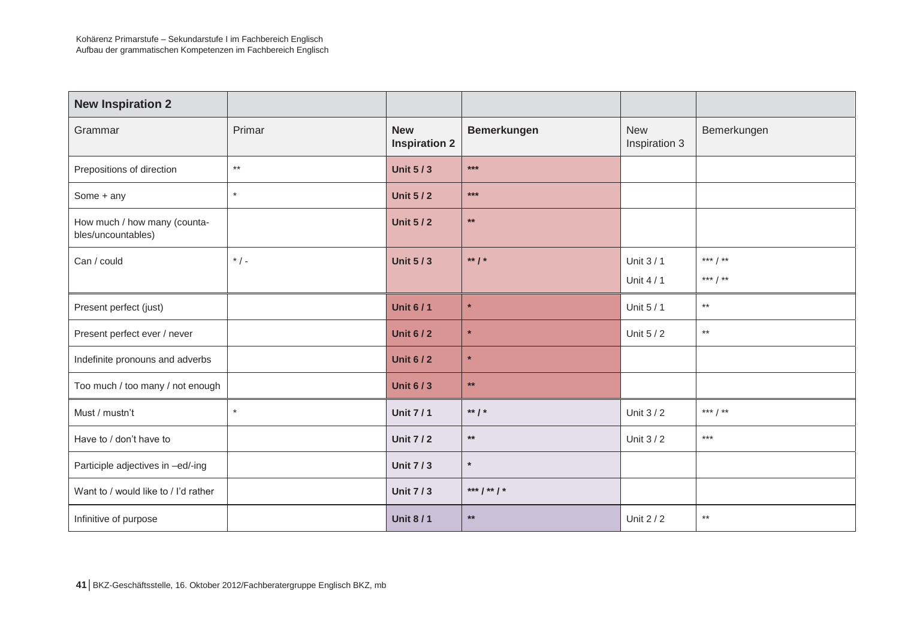| <b>New Inspiration 2</b>                           |         |                                    |                    |                             |                 |
|----------------------------------------------------|---------|------------------------------------|--------------------|-----------------------------|-----------------|
| Grammar                                            | Primar  | <b>New</b><br><b>Inspiration 2</b> | <b>Bemerkungen</b> | <b>New</b><br>Inspiration 3 | Bemerkungen     |
| Prepositions of direction                          | $***$   | <b>Unit 5/3</b>                    | $***$              |                             |                 |
| Some + any                                         | $\star$ | <b>Unit 5/2</b>                    | $***$              |                             |                 |
| How much / how many (counta-<br>bles/uncountables) |         | <b>Unit 5/2</b>                    | $***$              |                             |                 |
| Can / could                                        | $*$ / - | <b>Unit 5/3</b>                    | ** $/$ *           | Unit 3 / 1                  | *** / **        |
|                                                    |         |                                    |                    | Unit $4/1$                  | *** $/$ **      |
| Present perfect (just)                             |         | <b>Unit 6/1</b>                    | $\star$            | Unit 5 / 1                  | $^{\star\star}$ |
| Present perfect ever / never                       |         | <b>Unit 6/2</b>                    | $\star$            | Unit 5 / 2                  | $^{\star\star}$ |
| Indefinite pronouns and adverbs                    |         | <b>Unit 6/2</b>                    | $\star$            |                             |                 |
| Too much / too many / not enough                   |         | <b>Unit 6/3</b>                    | $***$              |                             |                 |
| Must / mustn't                                     | $\star$ | <b>Unit 7/1</b>                    | ** $/$ *           | Unit $3/2$                  | *** $/$ **      |
| Have to / don't have to                            |         | <b>Unit 7/2</b>                    | $**$               | Unit $3/2$                  | $***$           |
| Participle adjectives in -ed/-ing                  |         | <b>Unit 7/3</b>                    | $\star$            |                             |                 |
| Want to / would like to / I'd rather               |         | <b>Unit 7/3</b>                    | *** $/$ ** $/$ *   |                             |                 |
| Infinitive of purpose                              |         | <b>Unit 8/1</b>                    | $\star\star$       | Unit 2 / 2                  | $***$           |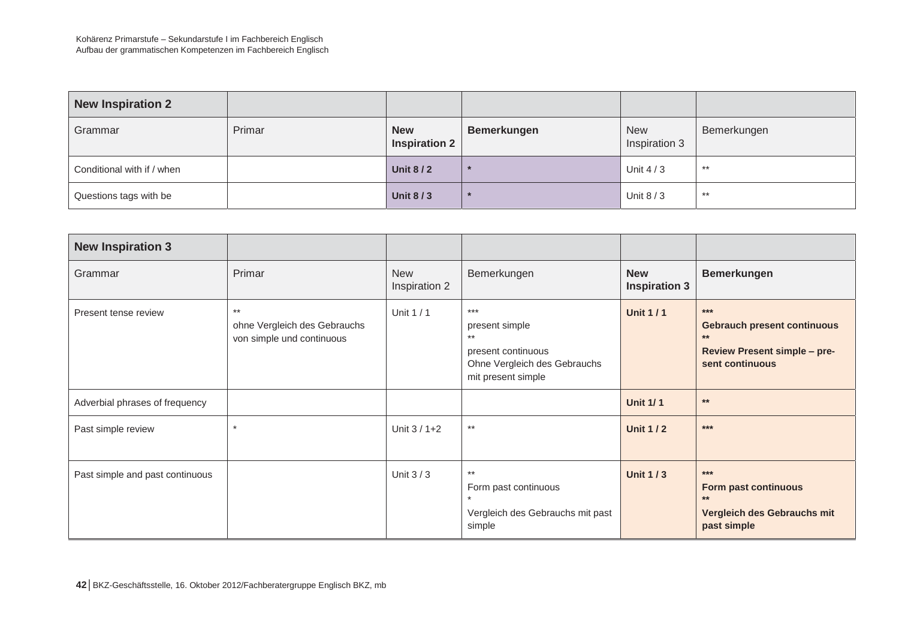| <b>New Inspiration 2</b>   |        |                                    |             |                             |             |
|----------------------------|--------|------------------------------------|-------------|-----------------------------|-------------|
| Grammar                    | Primar | <b>New</b><br><b>Inspiration 2</b> | Bemerkungen | <b>New</b><br>Inspiration 3 | Bemerkungen |
| Conditional with if / when |        | <b>Unit 8/2</b>                    |             | Unit $4/3$                  | $**$        |
| Questions tags with be     |        | <b>Unit 8/3</b>                    |             | Unit $8/3$                  | $**$        |

| <b>New Inspiration 3</b>        |                                                                    |                             |                                                                                                              |                                    |                                                                                                                |
|---------------------------------|--------------------------------------------------------------------|-----------------------------|--------------------------------------------------------------------------------------------------------------|------------------------------------|----------------------------------------------------------------------------------------------------------------|
| Grammar                         | Primar                                                             | <b>New</b><br>Inspiration 2 | Bemerkungen                                                                                                  | <b>New</b><br><b>Inspiration 3</b> | <b>Bemerkungen</b>                                                                                             |
| Present tense review            | $***$<br>ohne Vergleich des Gebrauchs<br>von simple und continuous | Unit 1 / 1                  | $***$<br>present simple<br>$***$<br>present continuous<br>Ohne Vergleich des Gebrauchs<br>mit present simple | <b>Unit 1/1</b>                    | $***$<br><b>Gebrauch present continuous</b><br>$***$<br><b>Review Present simple - pre-</b><br>sent continuous |
| Adverbial phrases of frequency  |                                                                    |                             |                                                                                                              | <b>Unit 1/1</b>                    | $***$                                                                                                          |
| Past simple review              | $\star$                                                            | Unit $3/1+2$                | $***$                                                                                                        | <b>Unit 1/2</b>                    | $***$                                                                                                          |
| Past simple and past continuous |                                                                    | Unit $3/3$                  | $***$<br>Form past continuous<br>Vergleich des Gebrauchs mit past<br>simple                                  | <b>Unit 1/3</b>                    | $***$<br>Form past continuous<br>$**$<br>Vergleich des Gebrauchs mit<br>past simple                            |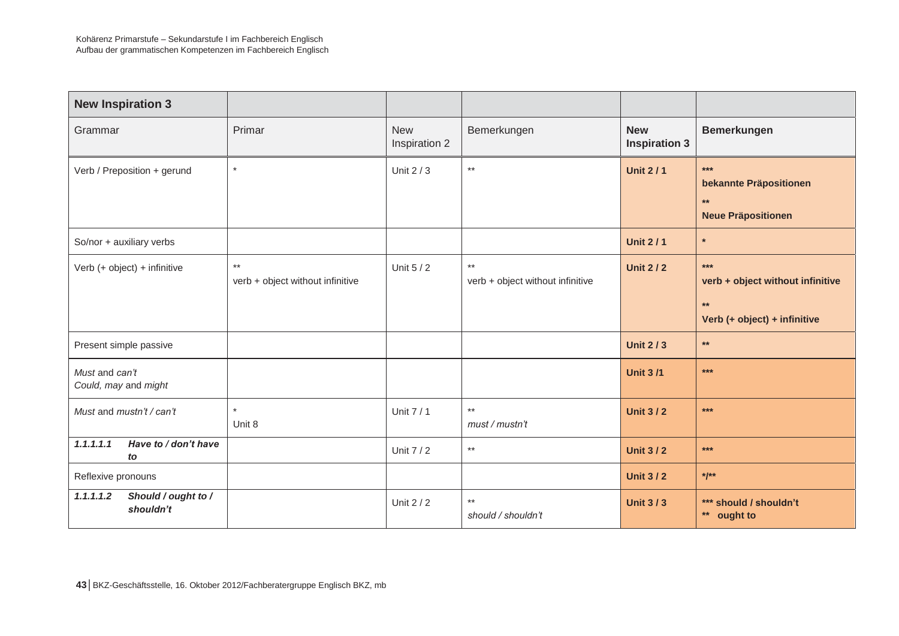| <b>New Inspiration 3</b>                      |                                           |                             |                                                     |                                    |                                                                                   |
|-----------------------------------------------|-------------------------------------------|-----------------------------|-----------------------------------------------------|------------------------------------|-----------------------------------------------------------------------------------|
| Grammar                                       | Primar                                    | <b>New</b><br>Inspiration 2 | Bemerkungen                                         | <b>New</b><br><b>Inspiration 3</b> | <b>Bemerkungen</b>                                                                |
| Verb / Preposition + gerund                   | $\star$                                   | Unit $2/3$                  | $^{\star\star}$                                     | <b>Unit 2/1</b>                    | $***$<br>bekannte Präpositionen<br>$**$<br><b>Neue Präpositionen</b>              |
| So/nor + auxiliary verbs                      |                                           |                             |                                                     | <b>Unit 2/1</b>                    | $\star$                                                                           |
| Verb (+ object) + infinitive                  | $***$<br>verb + object without infinitive | Unit 5 / 2                  | $^{\star\star}$<br>verb + object without infinitive | <b>Unit 2/2</b>                    | $***$<br>verb + object without infinitive<br>$**$<br>Verb (+ object) + infinitive |
| Present simple passive                        |                                           |                             |                                                     | <b>Unit 2/3</b>                    | $**$                                                                              |
| Must and can't<br>Could, may and might        |                                           |                             |                                                     | <b>Unit 3/1</b>                    | $***$                                                                             |
| Must and mustn't / can't                      | $\star$<br>Unit 8                         | Unit 7 / 1                  | $^{\star\star}$<br>must / mustn't                   | <b>Unit 3/2</b>                    | $***$                                                                             |
| 1.1.1.1.1<br>Have to / don't have<br>to       |                                           | Unit 7 / 2                  | $^{\star\star}$                                     | <b>Unit 3/2</b>                    | $***$                                                                             |
| Reflexive pronouns                            |                                           |                             |                                                     | <b>Unit 3/2</b>                    | $*1**$                                                                            |
| Should / ought to /<br>1.1.1.1.2<br>shouldn't |                                           | Unit 2 / 2                  | $***$<br>should / shouldn't                         | <b>Unit 3/3</b>                    | *** should / shouldn't<br>** ought to                                             |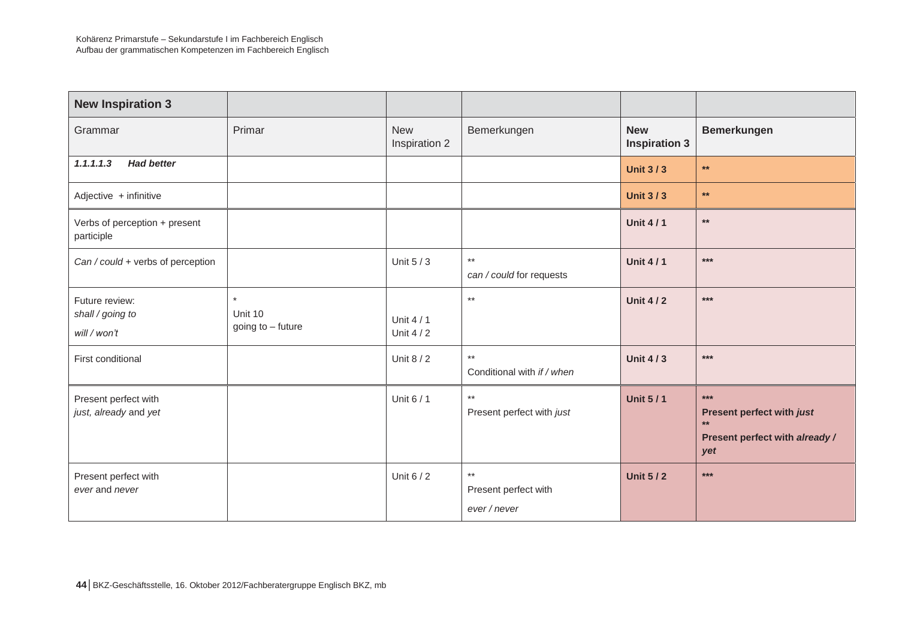| <b>New Inspiration 3</b>                           |                                         |                             |                                               |                                    |                                                                                     |
|----------------------------------------------------|-----------------------------------------|-----------------------------|-----------------------------------------------|------------------------------------|-------------------------------------------------------------------------------------|
| Grammar                                            | Primar                                  | <b>New</b><br>Inspiration 2 | Bemerkungen                                   | <b>New</b><br><b>Inspiration 3</b> | <b>Bemerkungen</b>                                                                  |
| 1.1.1.1.3<br><b>Had better</b>                     |                                         |                             |                                               | <b>Unit 3/3</b>                    | $**$                                                                                |
| Adjective + infinitive                             |                                         |                             |                                               | <b>Unit 3/3</b>                    | $\star\star$                                                                        |
| Verbs of perception + present<br>participle        |                                         |                             |                                               | <b>Unit 4/1</b>                    | $\star\star$                                                                        |
| Can / could + verbs of perception                  |                                         | Unit 5 / 3                  | $***$<br>can / could for requests             | <b>Unit 4/1</b>                    | $***$                                                                               |
| Future review:<br>shall / going to<br>will / won't | $\star$<br>Unit 10<br>going to - future | Unit $4/1$<br>Unit 4 / 2    | $^{\star\star}$                               | <b>Unit 4/2</b>                    | $***$                                                                               |
| First conditional                                  |                                         | Unit 8 / 2                  | $^{\star\star}$<br>Conditional with if / when | <b>Unit 4/3</b>                    | $***$                                                                               |
| Present perfect with<br>just, already and yet      |                                         | Unit 6 / 1                  | $***$<br>Present perfect with just            | <b>Unit 5/1</b>                    | $***$<br>Present perfect with just<br>$**$<br>Present perfect with already /<br>yet |
| Present perfect with<br>ever and never             |                                         | Unit 6 / 2                  | $***$<br>Present perfect with<br>ever / never | <b>Unit 5/2</b>                    | $***$                                                                               |